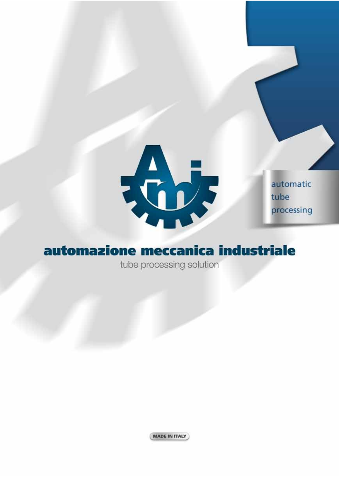

automatic tube processing

# automazione meccanica industriale

tube processing solution

MADE IN ITALY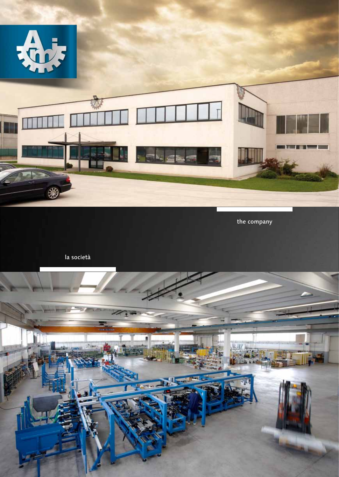

the company

la società

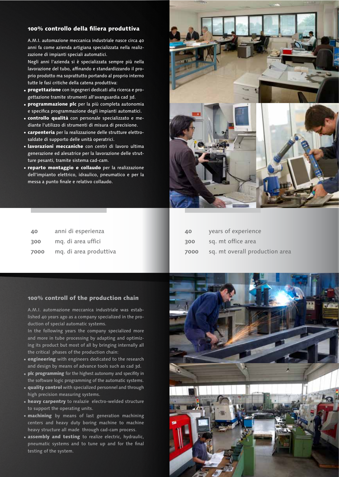### 100% controllo della filiera produttiva

A.M.I. automazione meccanica industriale nasce circa 40 anni fa come azienda artigiana specializzata nella realizzazione di impianti speciali automatici.

Negli anni l'azienda si è specializzata sempre più nella lavorazione del tubo, affinando e standardizzando il proprio prodotto ma soprattutto portando al proprio interno tutte le fasi critiche della catena produttiva:

- progettazione con ingegneri dedicati alla ricerca e progettazione tramite strumenti all'avanguardia cad 3d.
- programmazione plc per la più completa autonomia e specifica programmazione degli impianti automatici.
- controllo qualità con personale specializzato e mediante l'utilizzo di strumenti di misura di precisione.
- carpenteria per la realizzazione delle strutture elettrosaldate di supporto delle unità operatrici.
- lavorazioni meccaniche con centri di lavoro ultima generazione ed alesatrice per la lavorazione delle strutture pesanti, tramite sistema cad-cam.
- reparto montaggio e collaudo per la realizzazione dell'impianto elettrico, idraulico, pneumatico e per la messa a punto finale e relativo collaudo.

**40** anni di esperienza **300** mq. di area uffici

**7000** mq. di area produttiva





| 40   | years of experience            |
|------|--------------------------------|
| 300  | sq. mt office area             |
| 7000 | sq. mt overall production area |

### 100% controll of the production chain

A.M.I. automazione meccanica industriale was established 40 years ago as a company specialized in the production of special automatic systems.

In the following years the company specialized more and more in tube processing by adapting and optimizing its product but most of all by bringing internally all the critical phases of the production chain:

- engineering with engineers dedicated to the research and design by means of advance tools such as cad 3d.
- plc programming for the highest autonomy and specifity in the software logic programming of the automatic systems.
- quality control with specialized personnel and through high precision measuring systems.
- heavy carpentry to realazie electro-welded structure to support the operating units.
- machining by means of last generation machining centers and heavy duty boring machine to machine heavy structure all made through cad-cam process.
- assembly and testing to realize electric, hydraulic, pneumatic systems and to tune up and for the final testing of the system.

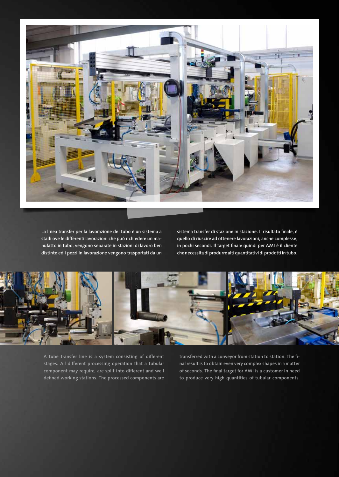

La linea transfer per la lavorazione del tubo è un sistema a stadi ove le differenti lavorazioni che può richiedere un manufatto in tubo, vengono separate in stazioni di lavoro ben distinte ed i pezzi in lavorazione vengono trasportati da un

sistema transfer di stazione in stazione. Il risultato finale, è quello di riuscire ad ottenere lavorazioni, anche complesse, in pochi secondi. Il target finale quindi per AMI è il cliente che necessita di produrre alti quantitativi di prodotti in tubo.



A tube transfer line is a system consisting of different stages. All different processing operation that a tubular component may require, are split into different and well defined working stations. The processed components are transferred with a conveyor from station to station. The final result is to obtain even very complex shapes in a matter of seconds. The final target for AMI is a customer in need to produce very high quantities of tubular components.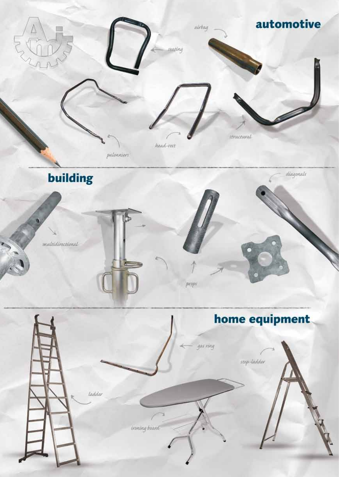